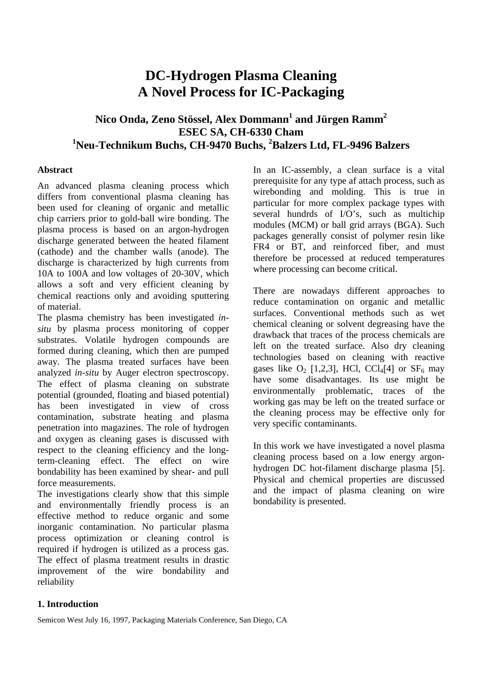# **DC-Hydrogen Plasma Cleaning A Novel Process for IC-Packaging**

# **Nico Onda, Zeno Stössel, Alex Dommann<sup>1</sup> and Jürgen Ramm2 ESEC SA, CH-6330 Cham 1 Neu-Technikum Buchs, CH-9470 Buchs, <sup>2</sup> Balzers Ltd, FL-9496 Balzers**

# **Abstract**

An advanced plasma cleaning process which differs from conventional plasma cleaning has been used for cleaning of organic and metallic chip carriers prior to gold-ball wire bonding. The plasma process is based on an argon-hydrogen discharge generated between the heated filament (cathode) and the chamber walls (anode). The discharge is characterized by high currents from 10A to 100A and low voltages of 20-30V, which allows a soft and very efficient cleaning by chemical reactions only and avoiding sputtering of material.

The plasma chemistry has been investigated *insitu* by plasma process monitoring of copper substrates. Volatile hydrogen compounds are formed during cleaning, which then are pumped away. The plasma treated surfaces have been analyzed *in-situ* by Auger electron spectroscopy. The effect of plasma cleaning on substrate potential (grounded, floating and biased potential) has been investigated in view of cross contamination, substrate heating and plasma penetration into magazines. The role of hydrogen and oxygen as cleaning gases is discussed with respect to the cleaning efficiency and the longterm-cleaning effect. The effect on wire bondability has been examined by shear- and pull force measurements.

The investigations clearly show that this simple and environmentally friendly process is an effective method to reduce organic and some inorganic contamination. No particular plasma process optimization or cleaning control is required if hydrogen is utilized as a process gas. The effect of plasma treatment results in drastic improvement of the wire bondability and reliability

In an IC-assembly, a clean surface is a vital prerequisite for any type af attach process, such as wirebonding and molding. This is true in particular for more complex package types with several hundrds of I/O's, such as multichip modules (MCM) or ball grid arrays (BGA). Such packages generally consist of polymer resin like FR4 or BT, and reinforced fiber, and must therefore be processed at reduced temperatures where processing can become critical.

There are nowadays different approaches to reduce contamination on organic and metallic surfaces. Conventional methods such as wet chemical cleaning or solvent degreasing have the drawback that traces of the process chemicals are left on the treated surface. Also dry cleaning technologies based on cleaning with reactive gases like  $O_2$  [1,2,3], HCl, CCl<sub>4</sub>[4] or SF<sub>6</sub> may have some disadvantages. Its use might be environmentally problematic, traces of the working gas may be left on the treated surface or the cleaning process may be effective only for very specific contaminants.

In this work we have investigated a novel plasma cleaning process based on a low energy argonhydrogen DC hot-filament discharge plasma [5]. Physical and chemical properties are discussed and the impact of plasma cleaning on wire bondability is presented.

# **1. Introduction**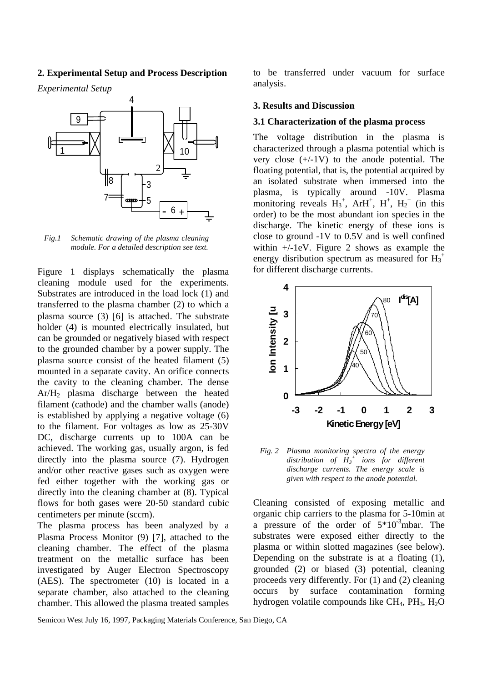#### **2. Experimental Setup and Process Description**

*Experimental Setup*



*Fig.1 Schematic drawing of the plasma cleaning module. For a detailed description see text.* 

Figure 1 displays schematically the plasma cleaning module used for the experiments. Substrates are introduced in the load lock (1) and transferred to the plasma chamber (2) to which a plasma source (3) [6] is attached. The substrate holder (4) is mounted electrically insulated, but can be grounded or negatively biased with respect to the grounded chamber by a power supply. The plasma source consist of the heated filament (5) mounted in a separate cavity. An orifice connects the cavity to the cleaning chamber. The dense Ar/H2 plasma discharge between the heated filament (cathode) and the chamber walls (anode) is established by applying a negative voltage (6) to the filament. For voltages as low as 25-30V DC, discharge currents up to 100A can be achieved. The working gas, usually argon, is fed directly into the plasma source (7). Hydrogen and/or other reactive gases such as oxygen were fed either together with the working gas or directly into the cleaning chamber at (8). Typical flows for both gases were 20-50 standard cubic centimeters per minute (sccm).

The plasma process has been analyzed by a Plasma Process Monitor (9) [7], attached to the cleaning chamber. The effect of the plasma treatment on the metallic surface has been investigated by Auger Electron Spectroscopy (AES). The spectrometer (10) is located in a separate chamber, also attached to the cleaning chamber. This allowed the plasma treated samples

to be transferred under vacuum for surface analysis.

#### **3. Results and Discussion**

#### **3.1 Characterization of the plasma process**

The voltage distribution in the plasma is characterized through a plasma potential which is very close  $(+/-1V)$  to the anode potential. The floating potential, that is, the potential acquired by an isolated substrate when immersed into the plasma, is typically around -10V. Plasma monitoring reveals  $H_3^+$ , ArH<sup>+</sup>, H<sup>+</sup>, H<sub>2</sub><sup>+</sup> (in this order) to be the most abundant ion species in the discharge. The kinetic energy of these ions is close to ground -1V to 0.5V and is well confined within +/-1eV. Figure 2 shows as example the energy disribution spectrum as measured for  $H_3^+$ for different discharge currents.



*Fig. 2 Plasma monitoring spectra of the energy distribution of H3 + ions for different discharge currents. The energy scale is given with respect to the anode potential.* 

Cleaning consisted of exposing metallic and organic chip carriers to the plasma for 5-10min at a pressure of the order of  $5*10^{-3}$ mbar. The substrates were exposed either directly to the plasma or within slotted magazines (see below). Depending on the substrate is at a floating (1), grounded (2) or biased (3) potential, cleaning proceeds very differently. For (1) and (2) cleaning occurs by surface contamination forming hydrogen volatile compounds like CH4, PH3, H2O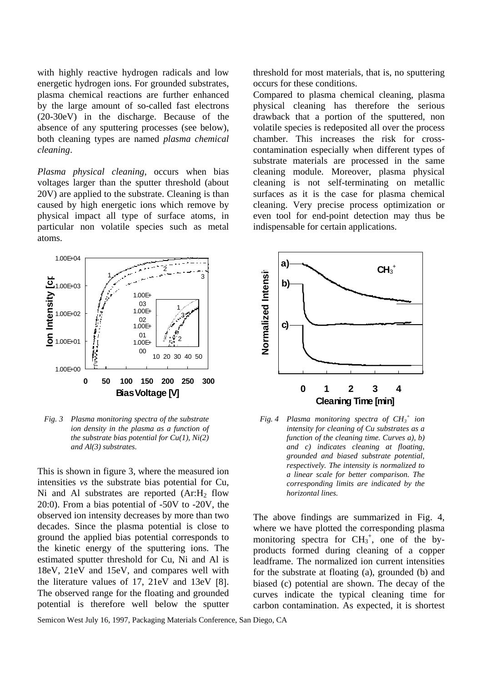with highly reactive hydrogen radicals and low energetic hydrogen ions. For grounded substrates, plasma chemical reactions are further enhanced by the large amount of so-called fast electrons (20-30eV) in the discharge. Because of the absence of any sputtering processes (see below), both cleaning types are named *plasma chemical cleaning*.

*Plasma physical cleaning*, occurs when bias voltages larger than the sputter threshold (about 20V) are applied to the substrate. Cleaning is than caused by high energetic ions which remove by physical impact all type of surface atoms, in particular non volatile species such as metal atoms.



*Fig. 3 Plasma monitoring spectra of the substrate ion density in the plasma as a function of the substrate bias potential for Cu(1), Ni(2) and Al(3) substrates.* 

This is shown in figure 3, where the measured ion intensities *vs* the substrate bias potential for Cu, Ni and Al substrates are reported  $(Ar:H_2)$  flow 20:0). From a bias potential of -50V to -20V, the observed ion intensity decreases by more than two decades. Since the plasma potential is close to ground the applied bias potential corresponds to the kinetic energy of the sputtering ions. The estimated sputter threshold for Cu, Ni and Al is 18eV, 21eV and 15eV, and compares well with the literature values of 17, 21eV and 13eV [8]. The observed range for the floating and grounded potential is therefore well below the sputter

threshold for most materials, that is, no sputtering occurs for these conditions.

Compared to plasma chemical cleaning, plasma physical cleaning has therefore the serious drawback that a portion of the sputtered, non volatile species is redeposited all over the process chamber. This increases the risk for crosscontamination especially when different types of substrate materials are processed in the same cleaning module. Moreover, plasma physical cleaning is not self-terminating on metallic surfaces as it is the case for plasma chemical cleaning. Very precise process optimization or even tool for end-point detection may thus be indispensable for certain applications.



Fig. 4 Plasma monitoring spectra of  $CH_3^+$  ion *intensity for cleaning of Cu substrates as a function of the cleaning time. Curves a), b) and c) indicates cleaning at floating, grounded and biased substrate potential, respectively. The intensity is normalized to a linear scale for better comparison. The corresponding limits are indicated by the horizontal lines.* 

The above findings are summarized in Fig. 4, where we have plotted the corresponding plasma monitoring spectra for  $CH_3^+$ , one of the byproducts formed during cleaning of a copper leadframe. The normalized ion current intensities for the substrate at floating (a), grounded (b) and biased (c) potential are shown. The decay of the curves indicate the typical cleaning time for carbon contamination. As expected, it is shortest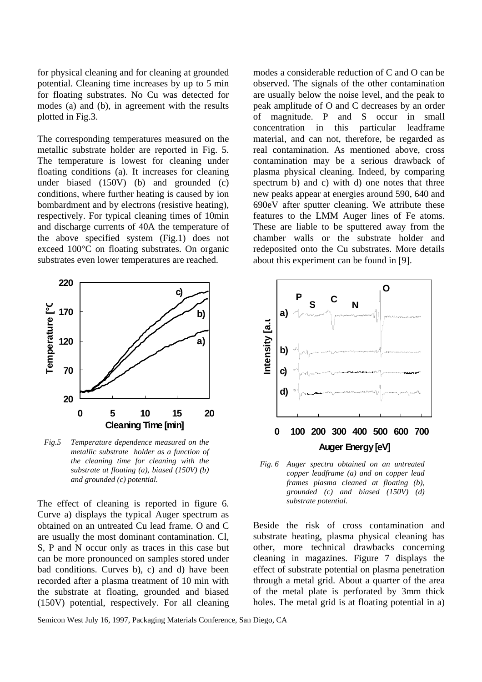for physical cleaning and for cleaning at grounded potential. Cleaning time increases by up to 5 min for floating substrates. No Cu was detected for modes (a) and (b), in agreement with the results plotted in Fig.3.

The corresponding temperatures measured on the metallic substrate holder are reported in Fig. 5. The temperature is lowest for cleaning under floating conditions (a). It increases for cleaning under biased (150V) (b) and grounded (c) conditions, where further heating is caused by ion bombardment and by electrons (resistive heating), respectively. For typical cleaning times of 10min and discharge currents of 40A the temperature of the above specified system (Fig.1) does not exceed 100°C on floating substrates. On organic substrates even lower temperatures are reached.



*Fig.5 Temperature dependence measured on the metallic substrate holder as a function of the cleaning time for cleaning with the substrate at floating (a), biased (150V) (b) and grounded (c) potential.* 

The effect of cleaning is reported in figure 6. Curve a) displays the typical Auger spectrum as obtained on an untreated Cu lead frame. O and C are usually the most dominant contamination. Cl, S, P and N occur only as traces in this case but can be more pronounced on samples stored under bad conditions. Curves b), c) and d) have been recorded after a plasma treatment of 10 min with the substrate at floating, grounded and biased (150V) potential, respectively. For all cleaning modes a considerable reduction of C and O can be observed. The signals of the other contamination are usually below the noise level, and the peak to peak amplitude of O and C decreases by an order of magnitude. P and S occur in small concentration in this particular leadframe material, and can not, therefore, be regarded as real contamination. As mentioned above, cross contamination may be a serious drawback of plasma physical cleaning. Indeed, by comparing spectrum b) and c) with d) one notes that three new peaks appear at energies around 590, 640 and 690eV after sputter cleaning. We attribute these features to the LMM Auger lines of Fe atoms. These are liable to be sputtered away from the chamber walls or the substrate holder and redeposited onto the Cu substrates. More details about this experiment can be found in [9].



*Fig. 6 Auger spectra obtained on an untreated copper leadframe (a) and on copper lead frames plasma cleaned at floating (b), grounded (c) and biased (150V) (d) substrate potential.* 

Beside the risk of cross contamination and substrate heating, plasma physical cleaning has other, more technical drawbacks concerning cleaning in magazines. Figure 7 displays the effect of substrate potential on plasma penetration through a metal grid. About a quarter of the area of the metal plate is perforated by 3mm thick holes. The metal grid is at floating potential in a)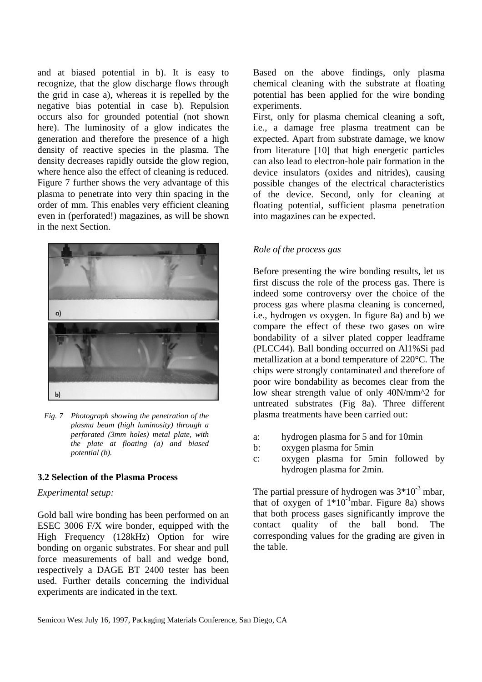and at biased potential in b). It is easy to recognize, that the glow discharge flows through the grid in case a), whereas it is repelled by the negative bias potential in case b). Repulsion occurs also for grounded potential (not shown here). The luminosity of a glow indicates the generation and therefore the presence of a high density of reactive species in the plasma. The density decreases rapidly outside the glow region, where hence also the effect of cleaning is reduced. Figure 7 further shows the very advantage of this plasma to penetrate into very thin spacing in the order of mm. This enables very efficient cleaning even in (perforated!) magazines, as will be shown in the next Section.



*Fig. 7 Photograph showing the penetration of the plasma beam (high luminosity) through a perforated (3mm holes) metal plate, with the plate at floating (a) and biased potential (b).* 

# **3.2 Selection of the Plasma Process**

# *Experimental setup:*

Gold ball wire bonding has been performed on an ESEC 3006 F/X wire bonder, equipped with the High Frequency (128kHz) Option for wire bonding on organic substrates. For shear and pull force measurements of ball and wedge bond, respectively a DAGE BT 2400 tester has been used. Further details concerning the individual experiments are indicated in the text.

Based on the above findings, only plasma chemical cleaning with the substrate at floating potential has been applied for the wire bonding experiments.

First, only for plasma chemical cleaning a soft, i.e., a damage free plasma treatment can be expected. Apart from substrate damage, we know from literature [10] that high energetic particles can also lead to electron-hole pair formation in the device insulators (oxides and nitrides), causing possible changes of the electrical characteristics of the device. Second, only for cleaning at floating potential, sufficient plasma penetration into magazines can be expected.

# *Role of the process gas*

Before presenting the wire bonding results, let us first discuss the role of the process gas. There is indeed some controversy over the choice of the process gas where plasma cleaning is concerned, i.e., hydrogen *vs* oxygen. In figure 8a) and b) we compare the effect of these two gases on wire bondability of a silver plated copper leadframe (PLCC44). Ball bonding occurred on Al1%Si pad metallization at a bond temperature of 220°C. The chips were strongly contaminated and therefore of poor wire bondability as becomes clear from the low shear strength value of only 40N/mm^2 for untreated substrates (Fig 8a). Three different plasma treatments have been carried out:

- a: hydrogen plasma for 5 and for 10min
- b: oxygen plasma for 5min
- c: oxygen plasma for 5min followed by hydrogen plasma for 2min.

The partial pressure of hydrogen was  $3*10^{-3}$  mbar, that of oxygen of  $1*10^{-1}$ mbar. Figure 8a) shows that both process gases significantly improve the contact quality of the ball bond. The corresponding values for the grading are given in the table.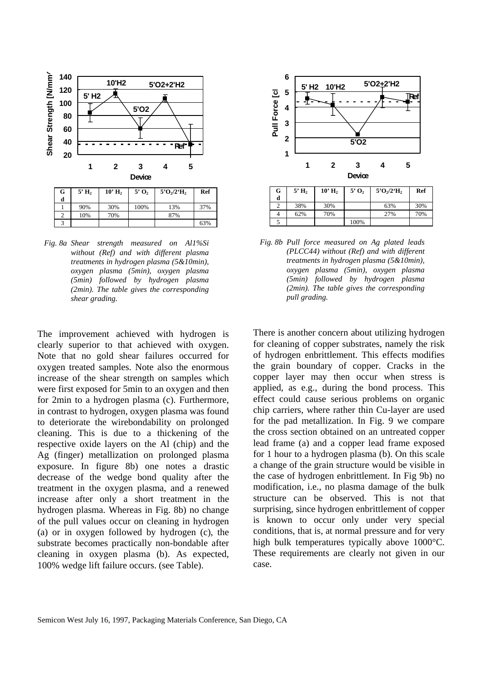

*Fig. 8a Shear strength measured on Al1%Si without (Ref) and with different plasma treatments in hydrogen plasma (5&10min), oxygen plasma (5min), oxygen plasma (5min) followed by hydrogen plasma (2min). The table gives the corresponding shear grading.* 

The improvement achieved with hydrogen is clearly superior to that achieved with oxygen. Note that no gold shear failures occurred for oxygen treated samples. Note also the enormous increase of the shear strength on samples which were first exposed for 5min to an oxygen and then for 2min to a hydrogen plasma (c). Furthermore, in contrast to hydrogen, oxygen plasma was found to deteriorate the wirebondability on prolonged cleaning. This is due to a thickening of the respective oxide layers on the Al (chip) and the Ag (finger) metallization on prolonged plasma exposure. In figure 8b) one notes a drastic decrease of the wedge bond quality after the treatment in the oxygen plasma, and a renewed increase after only a short treatment in the hydrogen plasma. Whereas in Fig. 8b) no change of the pull values occur on cleaning in hydrogen (a) or in oxygen followed by hydrogen (c), the substrate becomes practically non-bondable after cleaning in oxygen plasma (b). As expected, 100% wedge lift failure occurs. (see Table).



*Fig. 8b Pull force measured on Ag plated leads (PLCC44) without (Ref) and with different treatments in hydrogen plasma (5&10min), oxygen plasma (5min), oxygen plasma (5min) followed by hydrogen plasma (2min). The table gives the corresponding pull grading.* 

There is another concern about utilizing hydrogen for cleaning of copper substrates, namely the risk of hydrogen enbrittlement. This effects modifies the grain boundary of copper. Cracks in the copper layer may then occur when stress is applied, as e.g., during the bond process. This effect could cause serious problems on organic chip carriers, where rather thin Cu-layer are used for the pad metallization. In Fig. 9 we compare the cross section obtained on an untreated copper lead frame (a) and a copper lead frame exposed for 1 hour to a hydrogen plasma (b). On this scale a change of the grain structure would be visible in the case of hydrogen enbrittlement. In Fig 9b) no modification, i.e., no plasma damage of the bulk structure can be observed. This is not that surprising, since hydrogen enbrittlement of copper is known to occur only under very special conditions, that is, at normal pressure and for very high bulk temperatures typically above 1000°C. These requirements are clearly not given in our case.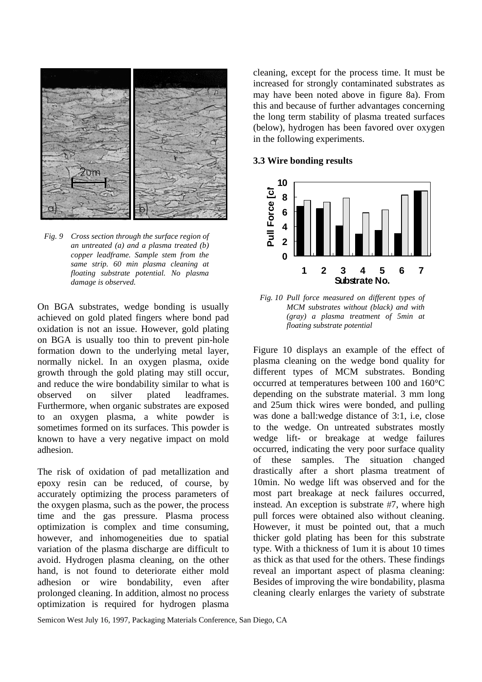

*Fig. 9 Cross section through the surface region of an untreated (a) and a plasma treated (b) copper leadframe. Sample stem from the same strip. 60 min plasma cleaning at floating substrate potential. No plasma damage is observed.* 

On BGA substrates, wedge bonding is usually achieved on gold plated fingers where bond pad oxidation is not an issue. However, gold plating on BGA is usually too thin to prevent pin-hole formation down to the underlying metal layer, normally nickel. In an oxygen plasma, oxide growth through the gold plating may still occur, and reduce the wire bondability similar to what is observed on silver plated leadframes. Furthermore, when organic substrates are exposed to an oxygen plasma, a white powder is sometimes formed on its surfaces. This powder is known to have a very negative impact on mold adhesion.

The risk of oxidation of pad metallization and epoxy resin can be reduced, of course, by accurately optimizing the process parameters of the oxygen plasma, such as the power, the process time and the gas pressure. Plasma process optimization is complex and time consuming, however, and inhomogeneities due to spatial variation of the plasma discharge are difficult to avoid. Hydrogen plasma cleaning, on the other hand, is not found to deteriorate either mold adhesion or wire bondability, even after prolonged cleaning. In addition, almost no process optimization is required for hydrogen plasma

cleaning, except for the process time. It must be increased for strongly contaminated substrates as may have been noted above in figure 8a). From this and because of further advantages concerning the long term stability of plasma treated surfaces (below), hydrogen has been favored over oxygen in the following experiments.

#### **3.3 Wire bonding results**



*Fig. 10 Pull force measured on different types of MCM substrates without (black) and with (gray) a plasma treatment of 5min at floating substrate potential* 

Figure 10 displays an example of the effect of plasma cleaning on the wedge bond quality for different types of MCM substrates. Bonding occurred at temperatures between 100 and 160°C depending on the substrate material. 3 mm long and 25um thick wires were bonded, and pulling was done a ball:wedge distance of 3:1, i.e, close to the wedge. On untreated substrates mostly wedge lift- or breakage at wedge failures occurred, indicating the very poor surface quality of these samples. The situation changed drastically after a short plasma treatment of 10min. No wedge lift was observed and for the most part breakage at neck failures occurred, instead. An exception is substrate #7, where high pull forces were obtained also without cleaning. However, it must be pointed out, that a much thicker gold plating has been for this substrate type. With a thickness of 1um it is about 10 times as thick as that used for the others. These findings reveal an important aspect of plasma cleaning: Besides of improving the wire bondability, plasma cleaning clearly enlarges the variety of substrate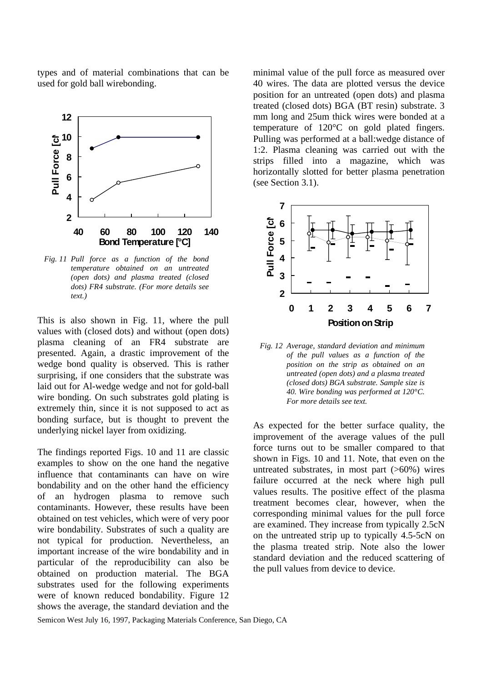types and of material combinations that can be used for gold ball wirebonding.



*Fig. 11 Pull force as a function of the bond temperature obtained on an untreated (open dots) and plasma treated (closed dots) FR4 substrate. (For more details see text.)* 

This is also shown in Fig. 11, where the pull values with (closed dots) and without (open dots) plasma cleaning of an FR4 substrate are presented. Again, a drastic improvement of the wedge bond quality is observed. This is rather surprising, if one considers that the substrate was laid out for Al-wedge wedge and not for gold-ball wire bonding. On such substrates gold plating is extremely thin, since it is not supposed to act as bonding surface, but is thought to prevent the underlying nickel layer from oxidizing.

The findings reported Figs. 10 and 11 are classic examples to show on the one hand the negative influence that contaminants can have on wire bondability and on the other hand the efficiency of an hydrogen plasma to remove such contaminants. However, these results have been obtained on test vehicles, which were of very poor wire bondability. Substrates of such a quality are not typical for production. Nevertheless, an important increase of the wire bondability and in particular of the reproducibility can also be obtained on production material. The BGA substrates used for the following experiments were of known reduced bondability. Figure 12 shows the average, the standard deviation and the

minimal value of the pull force as measured over 40 wires. The data are plotted versus the device position for an untreated (open dots) and plasma treated (closed dots) BGA (BT resin) substrate. 3 mm long and 25um thick wires were bonded at a temperature of 120°C on gold plated fingers. Pulling was performed at a ball:wedge distance of 1:2. Plasma cleaning was carried out with the strips filled into a magazine, which was horizontally slotted for better plasma penetration (see Section 3.1).



*Fig. 12 Average, standard deviation and minimum of the pull values as a function of the position on the strip as obtained on an untreated (open dots) and a plasma treated (closed dots) BGA substrate. Sample size is 40. Wire bonding was performed at 120°C. For more details see text.* 

As expected for the better surface quality, the improvement of the average values of the pull force turns out to be smaller compared to that shown in Figs. 10 and 11. Note, that even on the untreated substrates, in most part  $($ >60%) wires failure occurred at the neck where high pull values results. The positive effect of the plasma treatment becomes clear, however, when the corresponding minimal values for the pull force are examined. They increase from typically 2.5cN on the untreated strip up to typically 4.5-5cN on the plasma treated strip. Note also the lower standard deviation and the reduced scattering of the pull values from device to device.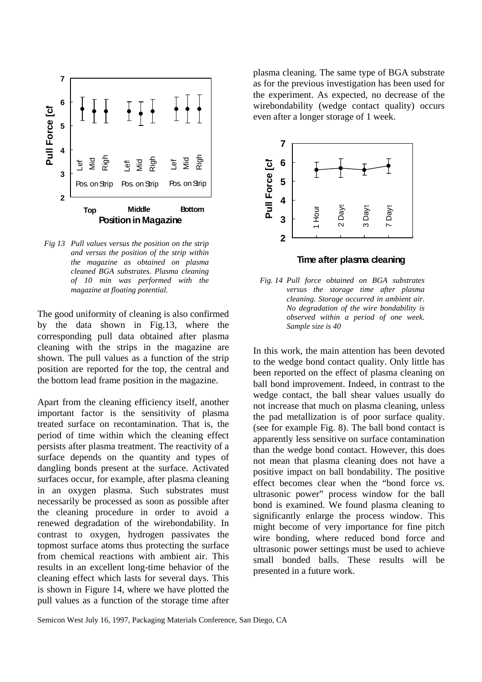

*Fig 13 Pull values versus the position on the strip and versus the position of the strip within the magazine as obtained on plasma cleaned BGA substrates. Plasma cleaning of 10 min was performed with the magazine at floating potential.* 

The good uniformity of cleaning is also confirmed by the data shown in Fig.13, where the corresponding pull data obtained after plasma cleaning with the strips in the magazine are shown. The pull values as a function of the strip position are reported for the top, the central and the bottom lead frame position in the magazine.

Apart from the cleaning efficiency itself, another important factor is the sensitivity of plasma treated surface on recontamination. That is, the period of time within which the cleaning effect persists after plasma treatment. The reactivity of a surface depends on the quantity and types of dangling bonds present at the surface. Activated surfaces occur, for example, after plasma cleaning in an oxygen plasma. Such substrates must necessarily be processed as soon as possible after the cleaning procedure in order to avoid a renewed degradation of the wirebondability. In contrast to oxygen, hydrogen passivates the topmost surface atoms thus protecting the surface from chemical reactions with ambient air. This results in an excellent long-time behavior of the cleaning effect which lasts for several days. This is shown in Figure 14, where we have plotted the pull values as a function of the storage time after

plasma cleaning. The same type of BGA substrate as for the previous investigation has been used for the experiment. As expected, no decrease of the wirebondability (wedge contact quality) occurs even after a longer storage of 1 week.



**Time after plasma cleaning**

*Fig. 14 Pull force obtained on BGA substrates versus the storage time after plasma cleaning. Storage occurred in ambient air. No degradation of the wire bondability is observed within a period of one week. Sample size is 40* 

In this work, the main attention has been devoted to the wedge bond contact quality. Only little has been reported on the effect of plasma cleaning on ball bond improvement. Indeed, in contrast to the wedge contact, the ball shear values usually do not increase that much on plasma cleaning, unless the pad metallization is of poor surface quality. (see for example Fig. 8). The ball bond contact is apparently less sensitive on surface contamination than the wedge bond contact. However, this does not mean that plasma cleaning does not have a positive impact on ball bondability. The positive effect becomes clear when the "bond force *vs.* ultrasonic power" process window for the ball bond is examined. We found plasma cleaning to significantly enlarge the process window. This might become of very importance for fine pitch wire bonding, where reduced bond force and ultrasonic power settings must be used to achieve small bonded balls. These results will be presented in a future work.